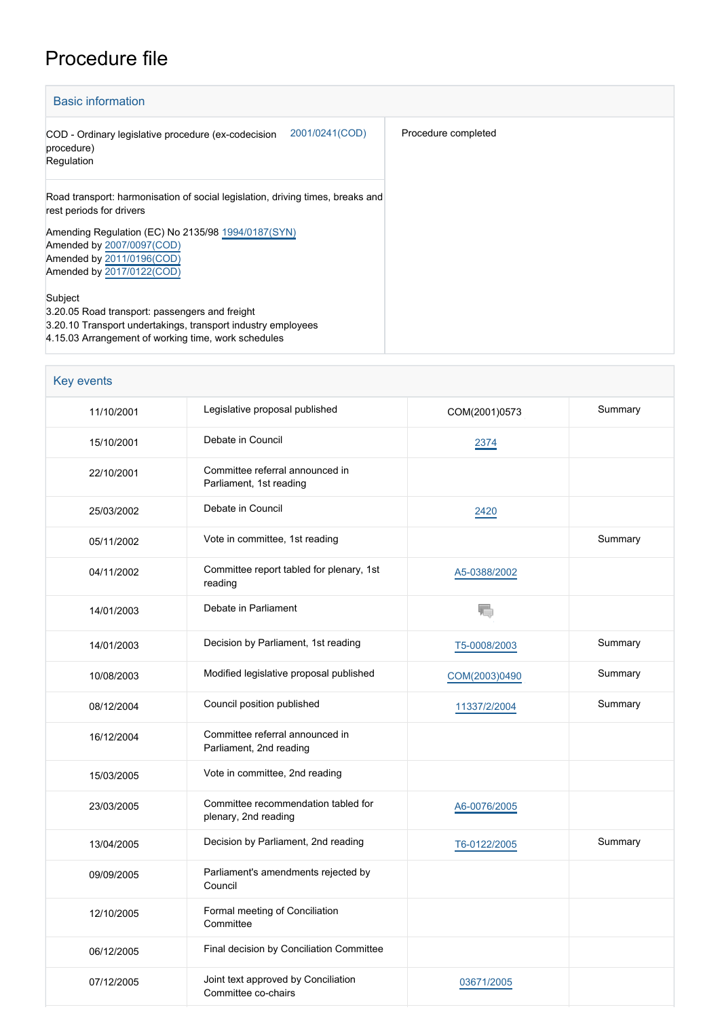## Procedure file

| <b>Basic information</b>                                                                                                                                                         |                     |  |  |  |
|----------------------------------------------------------------------------------------------------------------------------------------------------------------------------------|---------------------|--|--|--|
| 2001/0241(COD)<br>COD - Ordinary legislative procedure (ex-codecision<br>procedure)<br>Regulation                                                                                | Procedure completed |  |  |  |
| Road transport: harmonisation of social legislation, driving times, breaks and<br>rest periods for drivers                                                                       |                     |  |  |  |
| Amending Regulation (EC) No 2135/98 1994/0187(SYN)<br>Amended by 2007/0097(COD)<br>Amended by 2011/0196(COD)<br>Amended by 2017/0122(COD)                                        |                     |  |  |  |
| Subject<br>3.20.05 Road transport: passengers and freight<br>3.20.10 Transport undertakings, transport industry employees<br>4.15.03 Arrangement of working time, work schedules |                     |  |  |  |

| <b>Key events</b> |                                                             |               |         |
|-------------------|-------------------------------------------------------------|---------------|---------|
| 11/10/2001        | Legislative proposal published                              | COM(2001)0573 | Summary |
| 15/10/2001        | Debate in Council                                           | 2374          |         |
| 22/10/2001        | Committee referral announced in<br>Parliament, 1st reading  |               |         |
| 25/03/2002        | Debate in Council                                           | 2420          |         |
| 05/11/2002        | Vote in committee, 1st reading                              |               | Summary |
| 04/11/2002        | Committee report tabled for plenary, 1st<br>reading         | A5-0388/2002  |         |
| 14/01/2003        | Debate in Parliament                                        | T.            |         |
| 14/01/2003        | Decision by Parliament, 1st reading                         | T5-0008/2003  | Summary |
| 10/08/2003        | Modified legislative proposal published                     | COM(2003)0490 | Summary |
| 08/12/2004        | Council position published                                  | 11337/2/2004  | Summary |
| 16/12/2004        | Committee referral announced in<br>Parliament, 2nd reading  |               |         |
| 15/03/2005        | Vote in committee, 2nd reading                              |               |         |
| 23/03/2005        | Committee recommendation tabled for<br>plenary, 2nd reading | A6-0076/2005  |         |
| 13/04/2005        | Decision by Parliament, 2nd reading                         | T6-0122/2005  | Summary |
| 09/09/2005        | Parliament's amendments rejected by<br>Council              |               |         |
| 12/10/2005        | Formal meeting of Conciliation<br>Committee                 |               |         |
| 06/12/2005        | Final decision by Conciliation Committee                    |               |         |
| 07/12/2005        | Joint text approved by Conciliation<br>Committee co-chairs  | 03671/2005    |         |